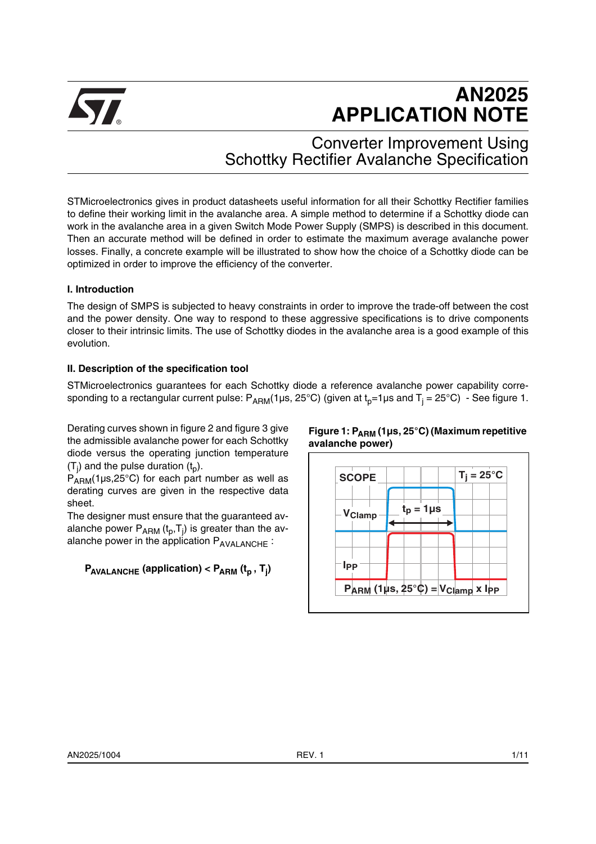

# **AN2025 APPLICATION NOTE**

Converter Improvement Using Schottky Rectifier Avalanche Specification

STMicroelectronics gives in product datasheets useful information for all their Schottky Rectifier families to define their working limit in the avalanche area. A simple method to determine if a Schottky diode can work in the avalanche area in a given Switch Mode Power Supply (SMPS) is described in this document. Then an accurate method will be defined in order to estimate the maximum average avalanche power losses. Finally, a concrete example will be illustrated to show how the choice of a Schottky diode can be optimized in order to improve the efficiency of the converter.

## **I. Introduction**

The design of SMPS is subjected to heavy constraints in order to improve the trade-off between the cost and the power density. One way to respond to these aggressive specifications is to drive components closer to their intrinsic limits. The use of Schottky diodes in the avalanche area is a good example of this evolution.

## **II. Description of the specification tool**

STMicroelectronics guarantees for each Schottky diode a reference avalanche power capability corresponding to a rectangular current pulse: P<sub>ARM</sub>(1µs, 25°C) (given at t<sub>p</sub>=1µs and T<sub>j</sub> = 25°C)  $\,$  - See figure 1.

Derating curves shown in figure 2 and figure 3 give the admissible avalanche power for each Schottky diode versus the operating junction temperature (T<sub>j</sub>) and the pulse duration (t<sub>p</sub>).

 $P_{ARM}$ (1µs,25°C) for each part number as well as derating curves are given in the respective data sheet.

The designer must ensure that the guaranteed avalanche power  ${\mathsf P}_{\mathsf{ARM}}\left({\mathsf t}_{{\mathsf p}}, {\mathsf T}_{\mathsf j}\right)$  is greater than the avalanche power in the application  $P_{AVALANCE}$ :

## $P_{AVALANCE}$  (application) <  $P_{ARM}$  (t<sub>p</sub> , T<sub>j</sub>)



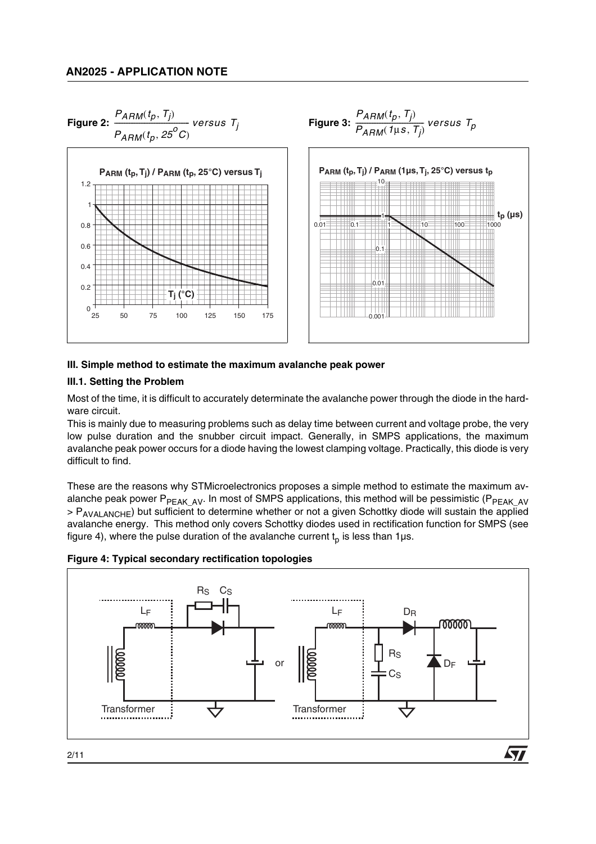

# **Figure 2:**  $\frac{P_{ARM}(t_p, T_j)}{P_{A}}$  versus  $T_i$  **Figure 3:**  $\frac{1}{\sqrt{2}}$  versus T<sub>j</sub>

#### **III. Simple method to estimate the maximum avalanche peak power**

## **III.1. Setting the Problem**

Most of the time, it is difficult to accurately determinate the avalanche power through the diode in the hardware circuit.

This is mainly due to measuring problems such as delay time between current and voltage probe, the very low pulse duration and the snubber circuit impact. Generally, in SMPS applications, the maximum avalanche peak power occurs for a diode having the lowest clamping voltage. Practically, this diode is very difficult to find.

These are the reasons why STMicroelectronics proposes a simple method to estimate the maximum avalanche peak power P<sub>PEAK</sub> A<sub>V</sub>. In most of SMPS applications, this method will be pessimistic (P<sub>PEAK</sub> AV > P<sub>AVALANCHE</sub>) but sufficient to determine whether or not a given Schottky diode will sustain the applied avalanche energy. This method only covers Schottky diodes used in rectification function for SMPS (see figure 4), where the pulse duration of the avalanche current  $t_0$  is less than 1µs.



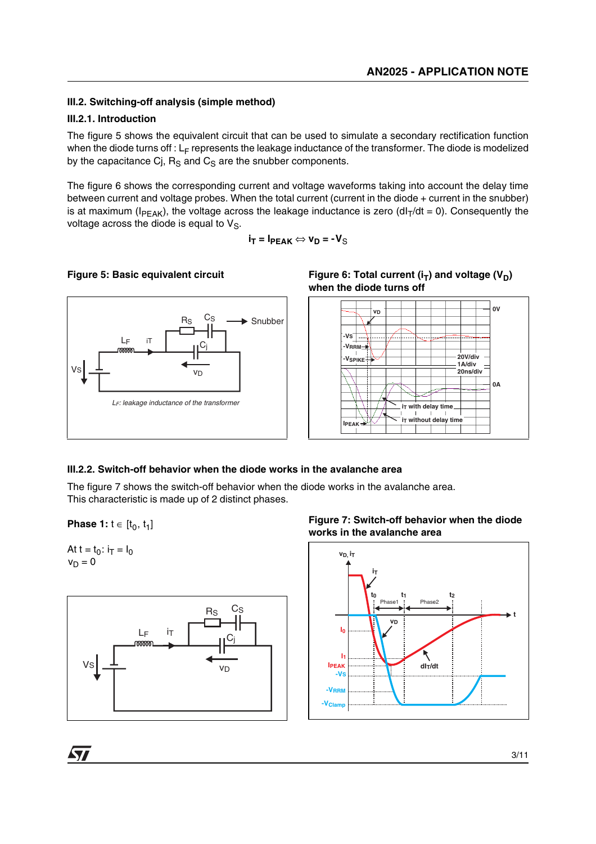## **III.2. Switching-off analysis (simple method)**

#### **III.2.1. Introduction**

The figure 5 shows the equivalent circuit that can be used to simulate a secondary rectification function when the diode turns off :  $L_F$  represents the leakage inductance of the transformer. The diode is modelized by the capacitance Cj,  $R_S$  and  $C_S$  are the snubber components.

The figure 6 shows the corresponding current and voltage waveforms taking into account the delay time between current and voltage probes. When the total current (current in the diode + current in the snubber) is at maximum ( $I_{PEAK}$ ), the voltage across the leakage inductance is zero (dl<sub>T</sub>/dt = 0). Consequently the voltage across the diode is equal to  $V_S$ .

$$
\mathbf{i}_{\mathsf{T}} = \mathbf{I}_{\mathsf{PEAK}} \Longleftrightarrow \mathbf{v}_{\mathsf{D}} = \mathbf{-V}_{\mathsf{S}}
$$

## **Figure 5: Basic equivalent circuit**







#### **III.2.2. Switch-off behavior when the diode works in the avalanche area**

The figure 7 shows the switch-off behavior when the diode works in the avalanche area. This characteristic is made up of 2 distinct phases.

**Phase 1:**  $t \in [t_0, t_1]$ 



*STI* 





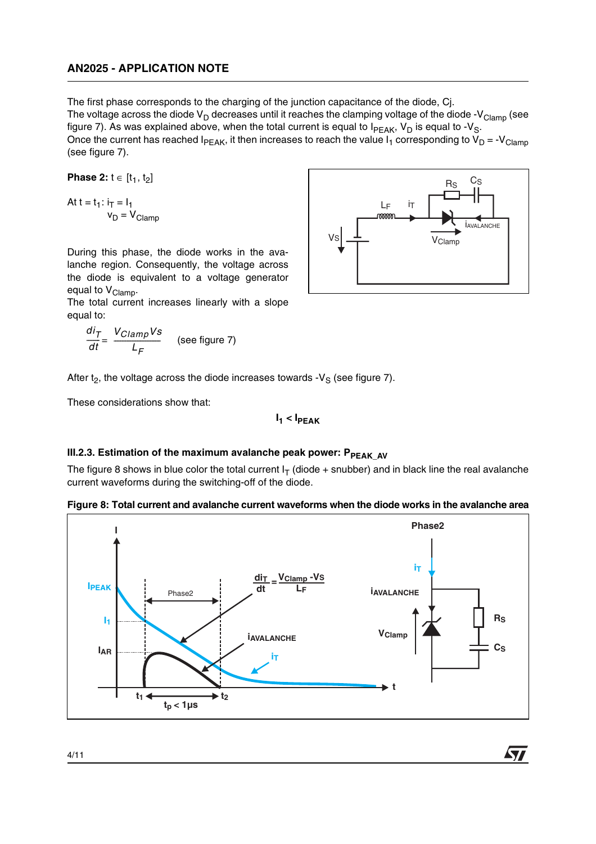The first phase corresponds to the charging of the junction capacitance of the diode, Cj. The voltage across the diode  $V_D$  decreases until it reaches the clamping voltage of the diode -V<sub>Clamp</sub> (see figure 7). As was explained above, when the total current is equal to  $I_{PEAK}$ ,  $V_D$  is equal to - $V_S$ . Once the current has reached  $I_{PEAK}$ , it then increases to reach the value  $I_1$  corresponding to  $V_D = -V_{Clamp}$ (see figure 7).

**Phase 2:**  $t \in [t_1, t_2]$ 

$$
At t = t_1: i_T = l_1
$$
  

$$
v_D = V_{Clamp}
$$

During this phase, the diode works in the avalanche region. Consequently, the voltage across the diode is equivalent to a voltage generator equal to V<sub>Clamp</sub>.

The total current increases linearly with a slope equal to:

$$
\frac{di_T}{dt} = \frac{V_{Clamp}Vs}{L_F}
$$
 (see figure 7)

After  $t_2$ , the voltage across the diode increases towards -V<sub>S</sub> (see figure 7).

These considerations show that:

$$
I_1 < I_{\text{PEAK}}
$$

#### **III.2.3. Estimation of the maximum avalanche peak power: PPEAK AV**

The figure 8 shows in blue color the total current  $I<sub>T</sub>$  (diode + snubber) and in black line the real avalanche current waveforms during the switching-off of the diode.



**Figure 8: Total current and avalanche current waveforms when the diode works in the avalanche area**



477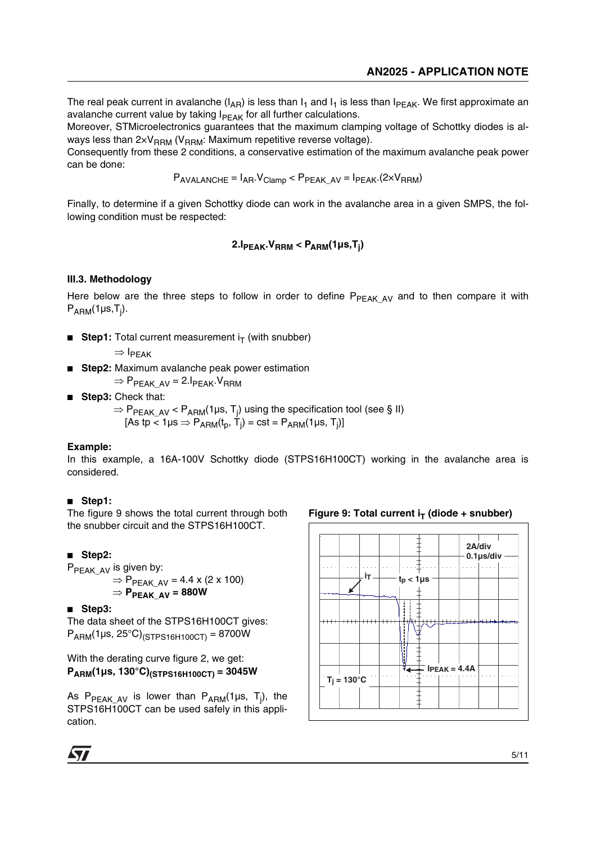The real peak current in avalanche ( $I_{AR}$ ) is less than  $I_1$  and  $I_1$  is less than  $I_{PEAK}$ . We first approximate an avalanche current value by taking  $I_{PFAK}$  for all further calculations.

Moreover, STMicroelectronics guarantees that the maximum clamping voltage of Schottky diodes is always less than  $2\times V_{\text{RBM}}$  (V<sub>RRM</sub>: Maximum repetitive reverse voltage).

Consequently from these 2 conditions, a conservative estimation of the maximum avalanche peak power can be done:

 $P_{AVALANCE} = I_{AR}.V_{Clamp} < P_{PEAK~AV} = I_{PEAK}.(2 \times V_{RRM})$ 

Finally, to determine if a given Schottky diode can work in the avalanche area in a given SMPS, the following condition must be respected:

## **2.IPEAK.VRRM < PARM(1µs,Tj )**

#### **III.3. Methodology**

Here below are the three steps to follow in order to define  $P_{PEAK\ AV}$  and to then compare it with P<sub>ARM</sub>(1µs,T<sub>j</sub>).

**Step1:** Total current measurement  $i_T$  (with snubber)

 $\Rightarrow$  I<sub>PFAK</sub>

**Step2:** Maximum avalanche peak power estimation

 $\Rightarrow$  P<sub>PEAK\_AV</sub> = 2.I<sub>PEAK</sub>.V<sub>RRM</sub>

**Step3: Check that:** 

 $\Rightarrow$  P<sub>PEAK\_AV</sub> < P<sub>ARM</sub>(1µs, T<sub>j</sub>) using the specification tool (see § II) [As tp < 1µs  $\Rightarrow$  P<sub>ARM</sub>(t<sub>p</sub>, T<sub>j</sub>) = cst = P<sub>ARM</sub>(1µs, T<sub>j</sub>)]

#### **Example:**

In this example, a 16A-100V Schottky diode (STPS16H100CT) working in the avalanche area is considered.

#### ■ **Step1:**

The figure 9 shows the total current through both the snubber circuit and the STPS16H100CT.

#### ■ **Step2:**

P<sub>PEAK\_AV</sub> is given by:

- $\Rightarrow$   $\mathsf{P}_{\mathsf{PEAK\_AV}}$  = 4.4 x (2 x 100) ⇒ **PPEAK\_AV = 880W**
- **Step3:**

The data sheet of the STPS16H100CT gives:  $P_{ARM}(1\mu s, 25^{\circ}C)_{(STPS16H100CT)} = 8700W$ 

With the derating curve figure 2, we get: **PARM(1µs, 130°C)(STPS16H100CT) = 3045W**

As P<sub>PEAK\_AV</sub> is lower than P<sub>ARM</sub>(1µs, T<sub>j</sub>), the STPS16H100CT can be used safely in this application.

#### Figure 9: Total current  $i_T$  (diode + snubber)



**AV**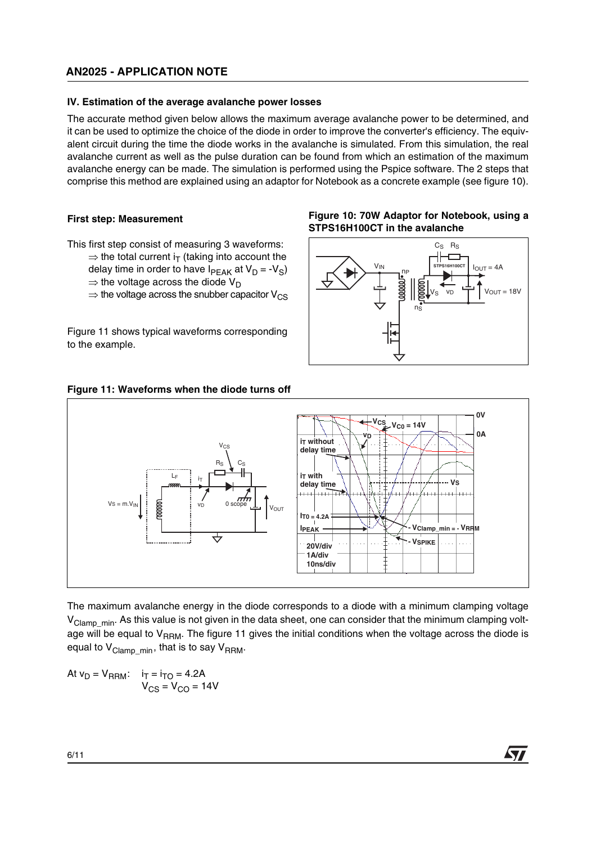## **AN2025 - APPLICATION NOTE**

#### **IV. Estimation of the average avalanche power losses**

The accurate method given below allows the maximum average avalanche power to be determined, and it can be used to optimize the choice of the diode in order to improve the converter's efficiency. The equivalent circuit during the time the diode works in the avalanche is simulated. From this simulation, the real avalanche current as well as the pulse duration can be found from which an estimation of the maximum avalanche energy can be made. The simulation is performed using the Pspice software. The 2 steps that comprise this method are explained using an adaptor for Notebook as a concrete example (see figure 10).

#### **First step: Measurement**

This first step consist of measuring 3 waveforms:

- $\Rightarrow$  the total current i<sub>T</sub> (taking into account the delay time in order to have  $I_{\text{PFAK}}$  at  $V_{\text{D}} = -V_{\text{S}}$ )
	- $\Rightarrow$  the voltage across the diode V<sub>D</sub>
- $\Rightarrow$  the voltage across the snubber capacitor  $V_{CS}$

Figure 11 shows typical waveforms corresponding to the example.

#### **Figure 10: 70W Adaptor for Notebook, using a STPS16H100CT in the avalanche**



**Figure 11: Waveforms when the diode turns off**



The maximum avalanche energy in the diode corresponds to a diode with a minimum clamping voltage V<sub>Clamp min</sub>. As this value is not given in the data sheet, one can consider that the minimum clamping voltage will be equal to  $V_{RRM}$ . The figure 11 gives the initial conditions when the voltage across the diode is equal to  $V_{Clamp,min}$ , that is to say  $V_{RRM}$ .

At  $v_D = V_{\text{RRM}}$ :  $i_T = i_{TO} = 4.2$ A  $\rm V_{CS}$  =  $\rm V_{CO}$  = 14V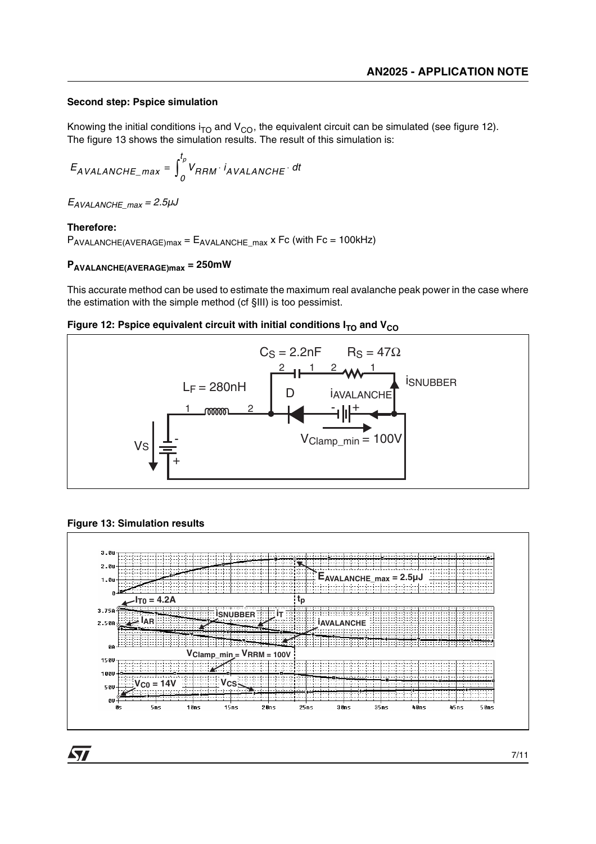#### **Second step: Pspice simulation**

Knowing the initial conditions  $i_{TO}$  and  $V_{CO}$ , the equivalent circuit can be simulated (see figure 12). The figure 13 shows the simulation results. The result of this simulation is:

$$
E_{AVALANCHE\_max} = \int_{0}^{t_p} V_{RRM} \cdot i_{AVALANCHE} \cdot dt
$$

 $E_{AVALANCE}$  max = 2.5µJ

## **Therefore:**

 $P_{AVALANCHE(AVERAGE)max} = E_{AVALANCHE}$  max x Fc (with Fc = 100kHz)

## **PAVALANCHE(AVERAGE)max = 250mW**

This accurate method can be used to estimate the maximum real avalanche peak power in the case where the estimation with the simple method (cf §III) is too pessimist.





## **Figure 13: Simulation results**

**ST** 



7/11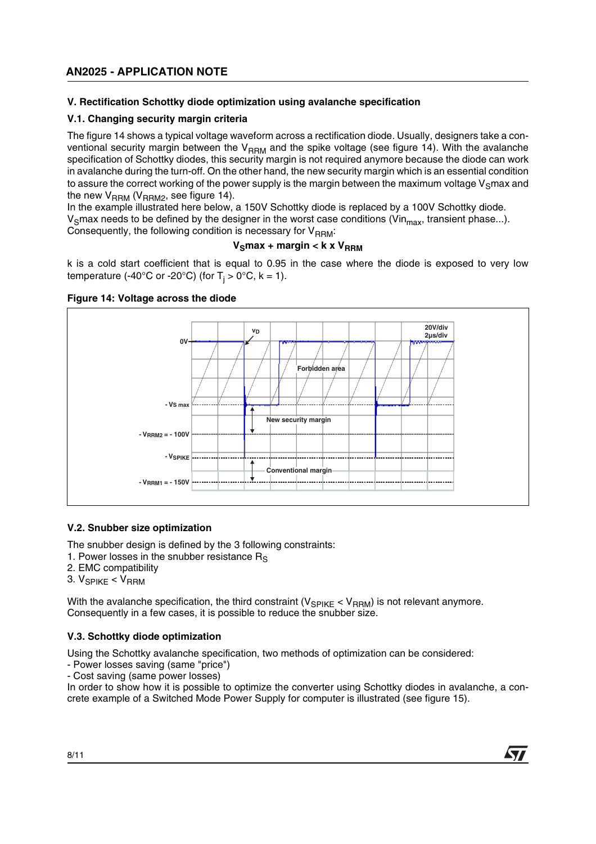## **AN2025 - APPLICATION NOTE**

## **V. Rectification Schottky diode optimization using avalanche specification**

#### **V.1. Changing security margin criteria**

The figure 14 shows a typical voltage waveform across a rectification diode. Usually, designers take a conventional security margin between the  $V_{\text{RBM}}$  and the spike voltage (see figure 14). With the avalanche specification of Schottky diodes, this security margin is not required anymore because the diode can work in avalanche during the turn-off. On the other hand, the new security margin which is an essential condition to assure the correct working of the power supply is the margin between the maximum voltage  $V_S$ max and the new  $V<sub>RRM</sub>$  (V<sub>RRM2</sub>, see figure 14).

In the example illustrated here below, a 150V Schottky diode is replaced by a 100V Schottky diode. V<sub>s</sub>max needs to be defined by the designer in the worst case conditions (Vin<sub>max</sub>, transient phase...). Consequently, the following condition is necessary for  $V_{\text{RRM}}$ :

## $V_S$ max + margin < k x  $V_{RRM}$

k is a cold start coefficient that is equal to 0.95 in the case where the diode is exposed to very low temperature (-40°C or -20°C) (for T<sub>j</sub> > 0°C, k = 1).



#### **Figure 14: Voltage across the diode**

#### **V.2. Snubber size optimization**

The snubber design is defined by the 3 following constraints:

1. Power losses in the snubber resistance  $R<sub>s</sub>$ 

- 2. EMC compatibility
- $3. V_{SPIKF} < V_{RRM}$

With the avalanche specification, the third constraint ( $V_{SPIKF}$  <  $V_{RRM}$ ) is not relevant anymore. Consequently in a few cases, it is possible to reduce the snubber size.

#### **V.3. Schottky diode optimization**

Using the Schottky avalanche specification, two methods of optimization can be considered:

- Power losses saving (same "price")
- Cost saving (same power losses)

In order to show how it is possible to optimize the converter using Schottky diodes in avalanche, a concrete example of a Switched Mode Power Supply for computer is illustrated (see figure 15).



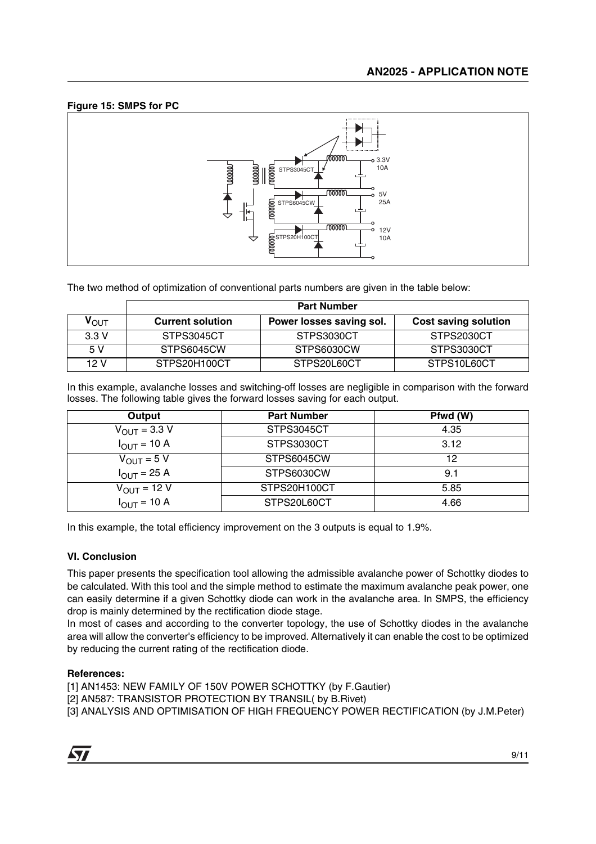## **Figure 15: SMPS for PC**



The two method of optimization of conventional parts numbers are given in the table below:

|                  | <b>Part Number</b>      |                          |                             |
|------------------|-------------------------|--------------------------|-----------------------------|
| $V_{\text{OUT}}$ | <b>Current solution</b> | Power losses saving sol. | <b>Cost saving solution</b> |
| 3.3V             | STPS3045CT              | STPS3030CT               | STPS2030CT                  |
| 5 V              | STPS6045CW              | STPS6030CW               | STPS3030CT                  |
| 12 V             | STPS20H100CT            | STPS20L60CT              | STPS10L60CT                 |

In this example, avalanche losses and switching-off losses are negligible in comparison with the forward losses. The following table gives the forward losses saving for each output.

| Output                          | <b>Part Number</b> | Pfwd (W) |
|---------------------------------|--------------------|----------|
| $V_{\text{OUT}} = 3.3 V$        | STPS3045CT         | 4.35     |
| $I_{\text{OUT}}$ = 10 A         | STPS3030CT         | 3.12     |
| $V_{\text{OUT}} = 5 V$          | STPS6045CW         | 12       |
| $I_{\text{OUT}} = 25 \text{ A}$ | STPS6030CW         | 9.1      |
| $V_{\text{OUT}} = 12 V$         | STPS20H100CT       | 5.85     |
| $I_{OUT}$ = 10 A                | STPS20L60CT        | 4.66     |

In this example, the total efficiency improvement on the 3 outputs is equal to 1.9%.

#### **VI. Conclusion**

This paper presents the specification tool allowing the admissible avalanche power of Schottky diodes to be calculated. With this tool and the simple method to estimate the maximum avalanche peak power, one can easily determine if a given Schottky diode can work in the avalanche area. In SMPS, the efficiency drop is mainly determined by the rectification diode stage.

In most of cases and according to the converter topology, the use of Schottky diodes in the avalanche area will allow the converter's efficiency to be improved. Alternatively it can enable the cost to be optimized by reducing the current rating of the rectification diode.

#### **References:**

[1] AN1453: NEW FAMILY OF 150V POWER SCHOTTKY (by F.Gautier)

- [2] AN587: TRANSISTOR PROTECTION BY TRANSIL( by B.Rivet)
- [3] ANALYSIS AND OPTIMISATION OF HIGH FREQUENCY POWER RECTIFICATION (by J.M.Peter)

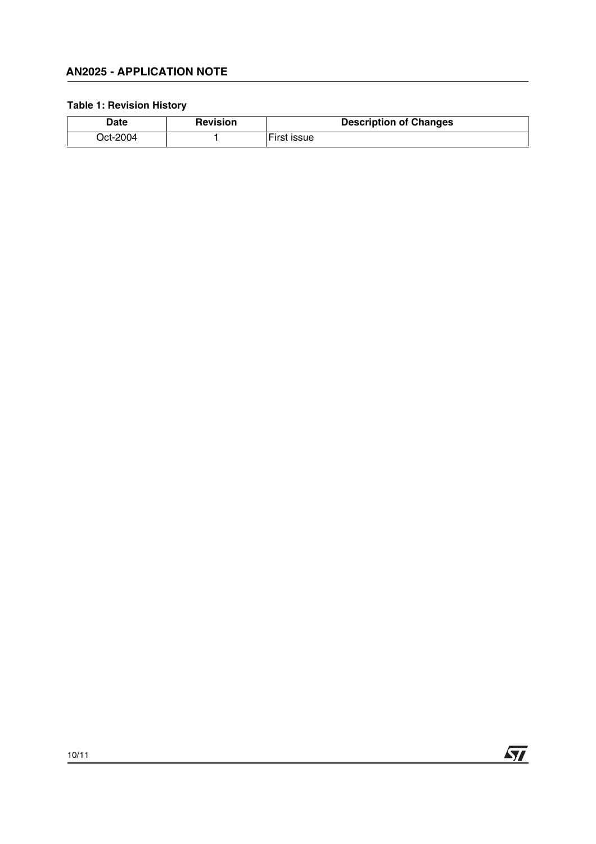## **AN2025 - APPLICATION NOTE**

## **Table 1: Revision History**

| Date    | <b>Revision</b> | <b>Description of Changes</b> |
|---------|-----------------|-------------------------------|
| Ct-2004 |                 | <b>ISSUE</b>                  |